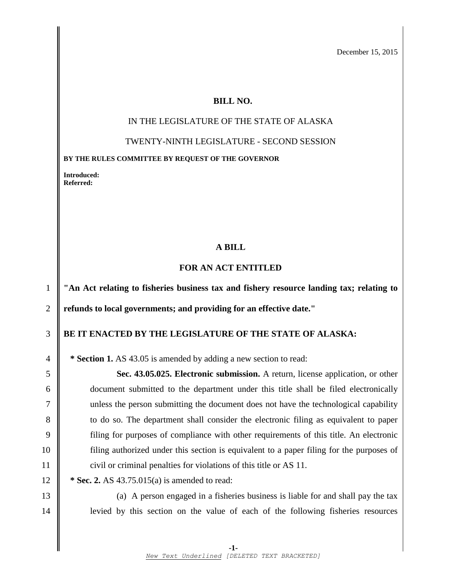December 15, 2015

#### **BILL NO.**

# IN THE LEGISLATURE OF THE STATE OF ALASKA

#### TWENTY-NINTH LEGISLATURE - SECOND SESSION

**BY THE RULES COMMITTEE BY REQUEST OF THE GOVERNOR**

**Introduced: Referred:** 

### **A BILL**

## **FOR AN ACT ENTITLED**

1 **"An Act relating to fisheries business tax and fishery resource landing tax; relating to** 2 **refunds to local governments; and providing for an effective date."**

# 3 **BE IT ENACTED BY THE LEGISLATURE OF THE STATE OF ALASKA:**

4 **\* Section 1.** AS 43.05 is amended by adding a new section to read:

 **Sec. 43.05.025. Electronic submission.** A return, license application, or other document submitted to the department under this title shall be filed electronically unless the person submitting the document does not have the technological capability 8 to do so. The department shall consider the electronic filing as equivalent to paper filing for purposes of compliance with other requirements of this title. An electronic filing authorized under this section is equivalent to a paper filing for the purposes of 11 civil or criminal penalties for violations of this title or AS 11.

12 **\* Sec. 2.** AS 43.75.015(a) is amended to read:

13 (a) A person engaged in a fisheries business is liable for and shall pay the tax 14 levied by this section on the value of each of the following fisheries resources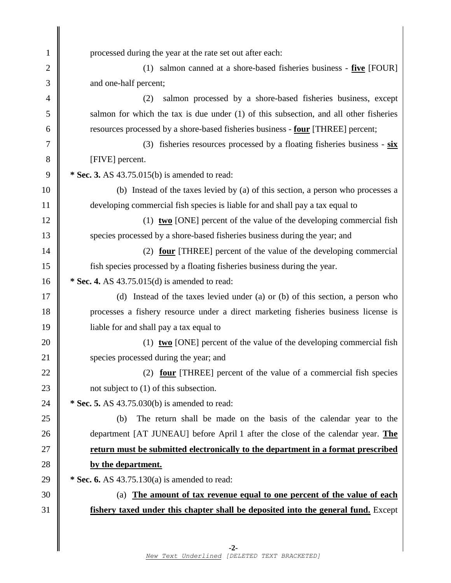processed during the year at the rate set out after each: (1) salmon canned at a shore-based fisheries business - **five** [FOUR]  $\parallel$  and one-half percent; (2) salmon processed by a shore-based fisheries business, except  $5 \parallel$  salmon for which the tax is due under (1) of this subsection, and all other fisheries resources processed by a shore-based fisheries business - **four** [THREE] percent; (3) fisheries resources processed by a floating fisheries business - **six** 8 | [FIVE] percent.  **\* Sec. 3.** AS 43.75.015(b) is amended to read: (b) Instead of the taxes levied by (a) of this section, a person who processes a developing commercial fish species is liable for and shall pay a tax equal to (1) **two** [ONE] percent of the value of the developing commercial fish species processed by a shore-based fisheries business during the year; and **(2) <u>four</u>** [THREE] percent of the value of the developing commercial fish species processed by a floating fisheries business during the year.  **\* Sec. 4.** AS 43.75.015(d) is amended to read: (d) Instead of the taxes levied under (a) or (b) of this section, a person who processes a fishery resource under a direct marketing fisheries business license is 19 iable for and shall pay a tax equal to 20 (1) **two** [ONE] percent of the value of the developing commercial fish 21 Species processed during the year; and 22 (2) **four** [THREE] percent of the value of a commercial fish species  $\parallel$  not subject to (1) of this subsection.  **\* Sec. 5.** AS 43.75.030(b) is amended to read: (b) The return shall be made on the basis of the calendar year to the department [AT JUNEAU] before April 1 after the close of the calendar year. **The return must be submitted electronically to the department in a format prescribed by the department. \* Sec. 6.** AS 43.75.130(a) is amended to read: (a) **The amount of tax revenue equal to one percent of the value of each fishery taxed under this chapter shall be deposited into the general fund.** Except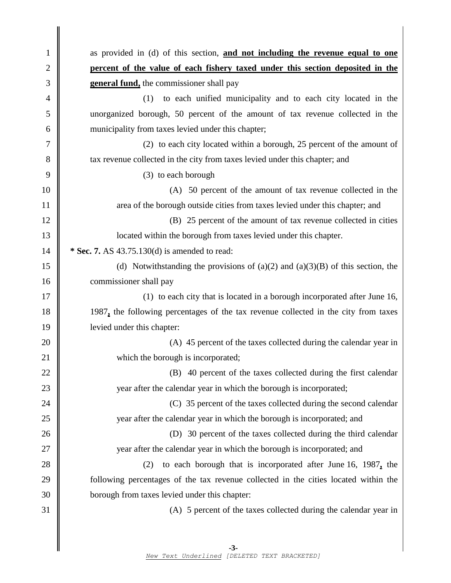1 as provided in (d) of this section, **and not including the revenue equal to one** 2 **percent of the value of each fishery taxed under this section deposited in the** 3 **general fund,** the commissioner shall pay 4 (1) to each unified municipality and to each city located in the 5 unorganized borough, 50 percent of the amount of tax revenue collected in the 6 municipality from taxes levied under this chapter; 7 (2) to each city located within a borough, 25 percent of the amount of 8 tax revenue collected in the city from taxes levied under this chapter; and  $9 \parallel$  (3) to each borough 10 (A) 50 percent of the amount of tax revenue collected in the 11 T 12 (B) 25 percent of the amount of tax revenue collected in cities 13 located within the borough from taxes levied under this chapter. 14 **\* Sec. 7.** AS 43.75.130(d) is amended to read: 15 (d) Notwithstanding the provisions of (a)(2) and (a)(3)(B) of this section, the 16 commissioner shall pay 17 || (1) to each city that is located in a borough incorporated after June 16, 18 1987**,** the following percentages of the tax revenue collected in the city from taxes 19 levied under this chapter: 20  $\parallel$  (A) 45 percent of the taxes collected during the calendar year in 21 which the borough is incorporated; 22  $\parallel$  (B) 40 percent of the taxes collected during the first calendar 23 year after the calendar year in which the borough is incorporated; 24 **(C)** 25 percent of the taxes collected during the second calendar 25 year after the calendar year in which the borough is incorporated; and 26 (D) 30 percent of the taxes collected during the third calendar 27 || year after the calendar year in which the borough is incorporated; and 28 (2) to each borough that is incorporated after June 16, 1987**,** the 29 following percentages of the tax revenue collected in the cities located within the 30 borough from taxes levied under this chapter:  $31 \parallel$  (A) 5 percent of the taxes collected during the calendar year in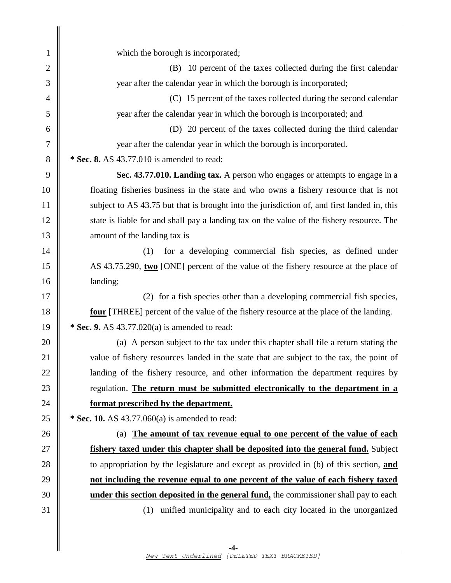1 which the borough is incorporated; 2 (B) 10 percent of the taxes collected during the first calendar year after the calendar year in which the borough is incorporated; 4 (C) 15 percent of the taxes collected during the second calendar year after the calendar year in which the borough is incorporated; and (D) 20 percent of the taxes collected during the third calendar year after the calendar year in which the borough is incorporated.  **\* Sec. 8.** AS 43.77.010 is amended to read: **Sec. 43.77.010. Landing tax.** A person who engages or attempts to engage in a floating fisheries business in the state and who owns a fishery resource that is not 11 Subject to AS 43.75 but that is brought into the jurisdiction of, and first landed in, this 12 state is liable for and shall pay a landing tax on the value of the fishery resource. The 13 || amount of the landing tax is 14 || (1) for a developing commercial fish species, as defined under AS 43.75.290, **two** [ONE] percent of the value of the fishery resource at the place of 16 | landing; 17 || (2) for a fish species other than a developing commercial fish species, **four** [THREE] percent of the value of the fishery resource at the place of the landing.  **\* Sec. 9.** AS 43.77.020(a) is amended to read: 20 (a) A person subject to the tax under this chapter shall file a return stating the 21 value of fishery resources landed in the state that are subject to the tax, the point of **landing** of the fishery resource, and other information the department requires by regulation. **The return must be submitted electronically to the department in a format prescribed by the department. \* Sec. 10.** AS 43.77.060(a) is amended to read: (a) **The amount of tax revenue equal to one percent of the value of each fishery taxed under this chapter shall be deposited into the general fund.** Subject to appropriation by the legislature and except as provided in (b) of this section, **and not including the revenue equal to one percent of the value of each fishery taxed under this section deposited in the general fund,** the commissioner shall pay to each (1) unified municipality and to each city located in the unorganized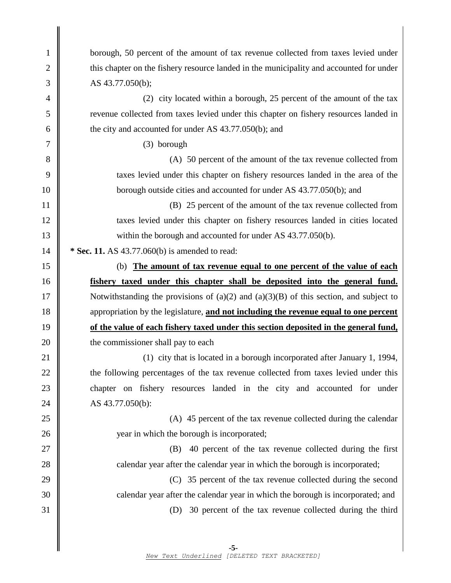| $\mathbf{1}$ | borough, 50 percent of the amount of tax revenue collected from taxes levied under         |
|--------------|--------------------------------------------------------------------------------------------|
| $\mathbf{2}$ | this chapter on the fishery resource landed in the municipality and accounted for under    |
| 3            | AS 43.77.050(b);                                                                           |
| 4            | (2) city located within a borough, 25 percent of the amount of the tax                     |
| 5            | revenue collected from taxes levied under this chapter on fishery resources landed in      |
| 6            | the city and accounted for under AS 43.77.050(b); and                                      |
| 7            | $(3)$ borough                                                                              |
| $8\,$        | (A) 50 percent of the amount of the tax revenue collected from                             |
| 9            | taxes levied under this chapter on fishery resources landed in the area of the             |
| 10           | borough outside cities and accounted for under AS 43.77.050(b); and                        |
| 11           | (B) 25 percent of the amount of the tax revenue collected from                             |
| 12           | taxes levied under this chapter on fishery resources landed in cities located              |
| 13           | within the borough and accounted for under AS 43.77.050(b).                                |
| 14           | * Sec. 11. AS 43.77.060(b) is amended to read:                                             |
| 15           | (b) The amount of tax revenue equal to one percent of the value of each                    |
| 16           | fishery taxed under this chapter shall be deposited into the general fund.                 |
| 17           | Notwithstanding the provisions of $(a)(2)$ and $(a)(3)(B)$ of this section, and subject to |
| 18           | appropriation by the legislature, and not including the revenue equal to one percent       |
| 19           | of the value of each fishery taxed under this section deposited in the general fund,       |
| 20           | the commissioner shall pay to each                                                         |
| 21           | (1) city that is located in a borough incorporated after January 1, 1994,                  |
| 22           | the following percentages of the tax revenue collected from taxes levied under this        |
| 23           | chapter on fishery resources landed in the city and accounted for under                    |
| 24           | AS 43.77.050(b):                                                                           |
| $25\,$       | (A) 45 percent of the tax revenue collected during the calendar                            |
| 26           | year in which the borough is incorporated;                                                 |
| $27\,$       | 40 percent of the tax revenue collected during the first<br>(B)                            |
| 28           | calendar year after the calendar year in which the borough is incorporated;                |
| 29           | (C) 35 percent of the tax revenue collected during the second                              |
| 30           | calendar year after the calendar year in which the borough is incorporated; and            |
| 31           | 30 percent of the tax revenue collected during the third<br>(D)                            |
|              |                                                                                            |
|              | $-5-$                                                                                      |